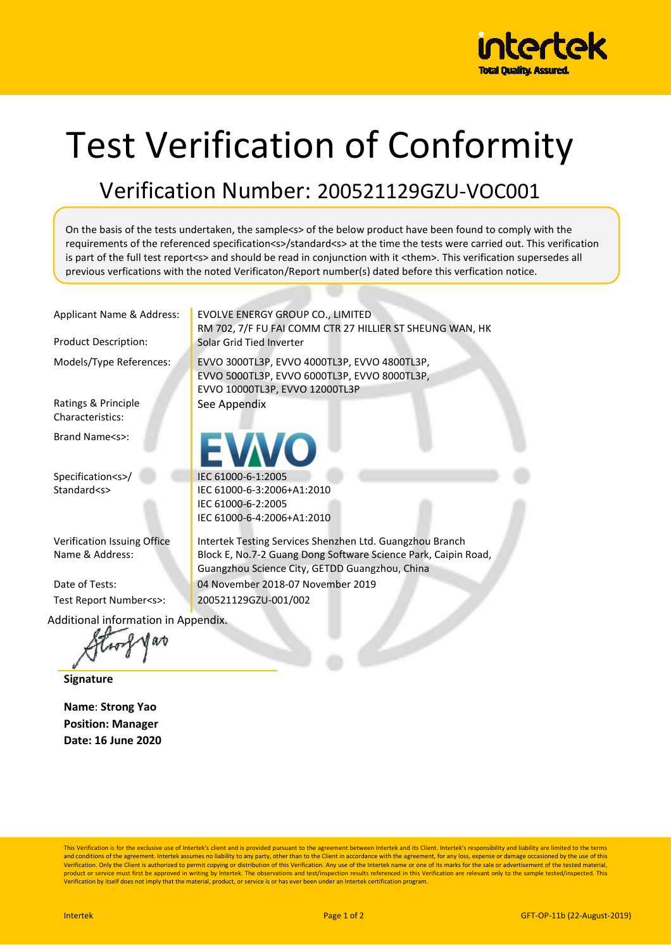

## Test Verification of Conformity

## Verification Number: 200521129GZU-VOC001

On the basis of the tests undertaken, the sample<s> of the below product have been found to comply with the requirements of the referenced specification<s>/standard<s> at the time the tests were carried out. This verification is part of the full test report<s> and should be read in conjunction with it <them>. This verification supersedes all previous verfications with the noted Verificaton/Report number(s) dated before this verfication notice.

Applicant Name & Address: | EVOLVE ENERGY GROUP CO., LIMITED

Ratings & Principle Characteristics:

Brand Name<s>:

Specification<s>/ Standard<s>

Verification Issuing Office Name & Address:

Test Report Number<s>: 200521129GZU-001/002

RM 702, 7/F FU FAI COMM CTR 27 HILLIER ST SHEUNG WAN, HK Product Description: Solar Grid Tied Inverter Models/Type References: EVVO 3000TL3P, EVVO 4000TL3P, EVVO 4800TL3P, EVVO 5000TL3P, EVVO 6000TL3P, EVVO 8000TL3P, EVVO 10000TL3P, EVVO 12000TL3P See Appendix

> IEC 61000-6-1:2005 IEC 61000-6-3:2006+A1:2010 IEC 61000-6-2:2005 IEC 61000-6-4:2006+A1:2010

Intertek Testing Services Shenzhen Ltd. Guangzhou Branch Block E, No.7-2 Guang Dong Software Science Park, Caipin Road, Guangzhou Science City, GETDD Guangzhou, China Date of Tests: 04 November 2018-07 November 2019

Additional information in Appendix.

**Signature** 

**Name**: **Strong Yao Position: Manager Date: 16 June 2020** 

This Verification is for the exclusive use of Intertek's client and is provided pursuant to the agreement between Intertek and its Client. Intertek's responsibility and liability are limited to the terms and conditions of the agreement. Intertek assumes no liability to any party, other than to the Client in accordance with the agreement, for any loss, expense or damage occasioned by the use of this<br>Verification. Only the C product or service must first be approved in writing by Intertek. The observations and test/inspection results referenced in this Verification are relevant only to the sample tested/inspected. This<br>Verification by itself d